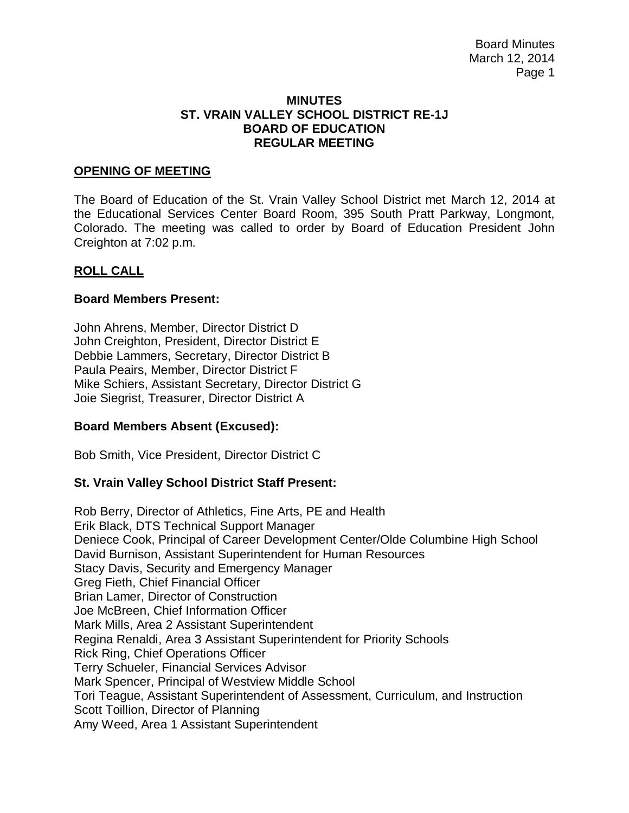#### **MINUTES ST. VRAIN VALLEY SCHOOL DISTRICT RE-1J BOARD OF EDUCATION REGULAR MEETING**

#### **OPENING OF MEETING**

The Board of Education of the St. Vrain Valley School District met March 12, 2014 at the Educational Services Center Board Room, 395 South Pratt Parkway, Longmont, Colorado. The meeting was called to order by Board of Education President John Creighton at 7:02 p.m.

#### **ROLL CALL**

#### **Board Members Present:**

John Ahrens, Member, Director District D John Creighton, President, Director District E Debbie Lammers, Secretary, Director District B Paula Peairs, Member, Director District F Mike Schiers, Assistant Secretary, Director District G Joie Siegrist, Treasurer, Director District A

# **Board Members Absent (Excused):**

Bob Smith, Vice President, Director District C

# **St. Vrain Valley School District Staff Present:**

Rob Berry, Director of Athletics, Fine Arts, PE and Health Erik Black, DTS Technical Support Manager Deniece Cook, Principal of Career Development Center/Olde Columbine High School David Burnison, Assistant Superintendent for Human Resources Stacy Davis, Security and Emergency Manager Greg Fieth, Chief Financial Officer Brian Lamer, Director of Construction Joe McBreen, Chief Information Officer Mark Mills, Area 2 Assistant Superintendent Regina Renaldi, Area 3 Assistant Superintendent for Priority Schools Rick Ring, Chief Operations Officer Terry Schueler, Financial Services Advisor Mark Spencer, Principal of Westview Middle School Tori Teague, Assistant Superintendent of Assessment, Curriculum, and Instruction Scott Toillion, Director of Planning Amy Weed, Area 1 Assistant Superintendent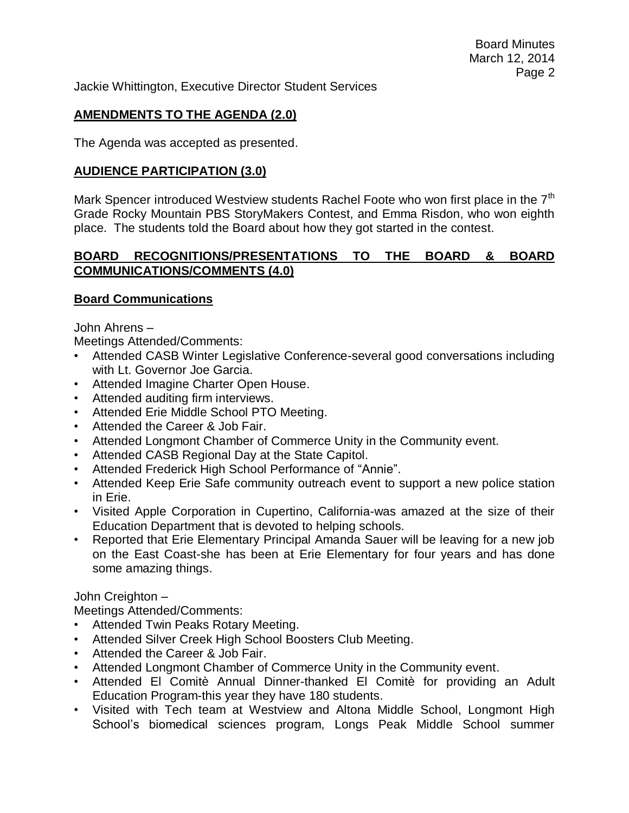Jackie Whittington, Executive Director Student Services

# **AMENDMENTS TO THE AGENDA (2.0)**

The Agenda was accepted as presented.

# **AUDIENCE PARTICIPATION (3.0)**

Mark Spencer introduced Westview students Rachel Foote who won first place in the 7<sup>th</sup> Grade Rocky Mountain PBS StoryMakers Contest, and Emma Risdon, who won eighth place. The students told the Board about how they got started in the contest.

# **BOARD RECOGNITIONS/PRESENTATIONS TO THE BOARD & BOARD COMMUNICATIONS/COMMENTS (4.0)**

# **Board Communications**

John Ahrens –

Meetings Attended/Comments:

- Attended CASB Winter Legislative Conference-several good conversations including with Lt. Governor Joe Garcia.
- Attended Imagine Charter Open House.
- Attended auditing firm interviews.
- Attended Erie Middle School PTO Meeting.
- Attended the Career & Job Fair.
- Attended Longmont Chamber of Commerce Unity in the Community event.
- Attended CASB Regional Day at the State Capitol.
- Attended Frederick High School Performance of "Annie".
- Attended Keep Erie Safe community outreach event to support a new police station in Erie.
- Visited Apple Corporation in Cupertino, California-was amazed at the size of their Education Department that is devoted to helping schools.
- Reported that Erie Elementary Principal Amanda Sauer will be leaving for a new job on the East Coast-she has been at Erie Elementary for four years and has done some amazing things.

John Creighton –

Meetings Attended/Comments:

- Attended Twin Peaks Rotary Meeting.
- Attended Silver Creek High School Boosters Club Meeting.
- Attended the Career & Job Fair.
- Attended Longmont Chamber of Commerce Unity in the Community event.
- Attended El Comitè Annual Dinner-thanked El Comitè for providing an Adult Education Program-this year they have 180 students.
- Visited with Tech team at Westview and Altona Middle School, Longmont High School's biomedical sciences program, Longs Peak Middle School summer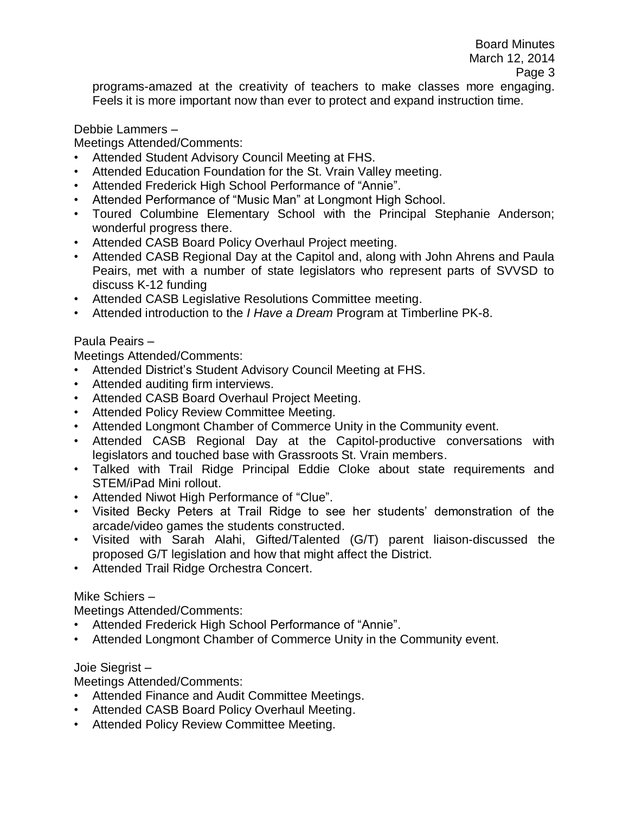programs-amazed at the creativity of teachers to make classes more engaging. Feels it is more important now than ever to protect and expand instruction time.

#### Debbie Lammers –

Meetings Attended/Comments:

- Attended Student Advisory Council Meeting at FHS.
- Attended Education Foundation for the St. Vrain Valley meeting.
- Attended Frederick High School Performance of "Annie".
- Attended Performance of "Music Man" at Longmont High School.
- Toured Columbine Elementary School with the Principal Stephanie Anderson; wonderful progress there.
- Attended CASB Board Policy Overhaul Project meeting.
- Attended CASB Regional Day at the Capitol and, along with John Ahrens and Paula Peairs, met with a number of state legislators who represent parts of SVVSD to discuss K-12 funding
- Attended CASB Legislative Resolutions Committee meeting.
- Attended introduction to the *I Have a Dream* Program at Timberline PK-8.

# Paula Peairs –

Meetings Attended/Comments:

- Attended District's Student Advisory Council Meeting at FHS.
- Attended auditing firm interviews.
- Attended CASB Board Overhaul Project Meeting.
- Attended Policy Review Committee Meeting.
- Attended Longmont Chamber of Commerce Unity in the Community event.
- Attended CASB Regional Day at the Capitol-productive conversations with legislators and touched base with Grassroots St. Vrain members.
- Talked with Trail Ridge Principal Eddie Cloke about state requirements and STEM/iPad Mini rollout.
- Attended Niwot High Performance of "Clue".
- Visited Becky Peters at Trail Ridge to see her students' demonstration of the arcade/video games the students constructed.
- Visited with Sarah Alahi, Gifted/Talented (G/T) parent liaison-discussed the proposed G/T legislation and how that might affect the District.
- Attended Trail Ridge Orchestra Concert.

# Mike Schiers –

Meetings Attended/Comments:

- Attended Frederick High School Performance of "Annie".
- Attended Longmont Chamber of Commerce Unity in the Community event.

# Joie Siegrist –

Meetings Attended/Comments:

- Attended Finance and Audit Committee Meetings.
- Attended CASB Board Policy Overhaul Meeting.
- Attended Policy Review Committee Meeting.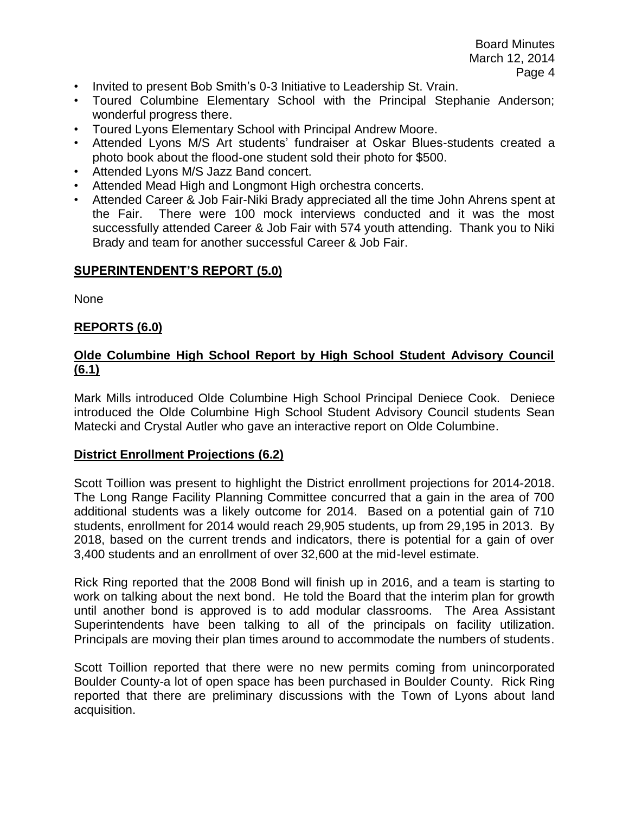- Invited to present Bob Smith's 0-3 Initiative to Leadership St. Vrain.
- Toured Columbine Elementary School with the Principal Stephanie Anderson; wonderful progress there.
- Toured Lyons Elementary School with Principal Andrew Moore.
- Attended Lyons M/S Art students' fundraiser at Oskar Blues-students created a photo book about the flood-one student sold their photo for \$500.
- Attended Lyons M/S Jazz Band concert.
- Attended Mead High and Longmont High orchestra concerts.
- Attended Career & Job Fair-Niki Brady appreciated all the time John Ahrens spent at the Fair. There were 100 mock interviews conducted and it was the most successfully attended Career & Job Fair with 574 youth attending. Thank you to Niki Brady and team for another successful Career & Job Fair.

#### **SUPERINTENDENT'S REPORT (5.0)**

None

#### **REPORTS (6.0)**

# **Olde Columbine High School Report by High School Student Advisory Council (6.1)**

Mark Mills introduced Olde Columbine High School Principal Deniece Cook. Deniece introduced the Olde Columbine High School Student Advisory Council students Sean Matecki and Crystal Autler who gave an interactive report on Olde Columbine.

#### **District Enrollment Projections (6.2)**

Scott Toillion was present to highlight the District enrollment projections for 2014-2018. The Long Range Facility Planning Committee concurred that a gain in the area of 700 additional students was a likely outcome for 2014. Based on a potential gain of 710 students, enrollment for 2014 would reach 29,905 students, up from 29,195 in 2013. By 2018, based on the current trends and indicators, there is potential for a gain of over 3,400 students and an enrollment of over 32,600 at the mid-level estimate.

Rick Ring reported that the 2008 Bond will finish up in 2016, and a team is starting to work on talking about the next bond. He told the Board that the interim plan for growth until another bond is approved is to add modular classrooms. The Area Assistant Superintendents have been talking to all of the principals on facility utilization. Principals are moving their plan times around to accommodate the numbers of students.

Scott Toillion reported that there were no new permits coming from unincorporated Boulder County-a lot of open space has been purchased in Boulder County. Rick Ring reported that there are preliminary discussions with the Town of Lyons about land acquisition.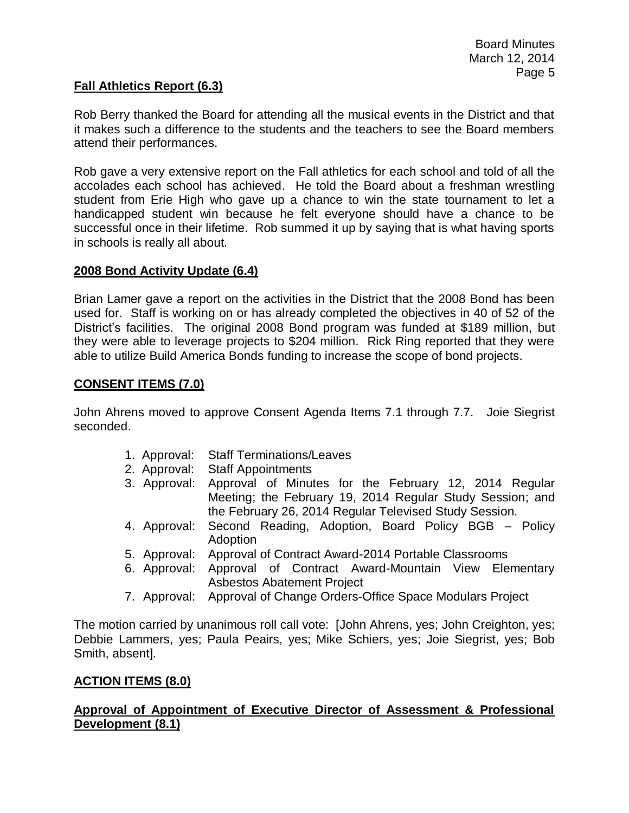# **Fall Athletics Report (6.3)**

Rob Berry thanked the Board for attending all the musical events in the District and that it makes such a difference to the students and the teachers to see the Board members attend their performances.

Rob gave a very extensive report on the Fall athletics for each school and told of all the accolades each school has achieved. He told the Board about a freshman wrestling student from Erie High who gave up a chance to win the state tournament to let a handicapped student win because he felt everyone should have a chance to be successful once in their lifetime. Rob summed it up by saying that is what having sports in schools is really all about.

#### **2008 Bond Activity Update (6.4)**

Brian Lamer gave a report on the activities in the District that the 2008 Bond has been used for. Staff is working on or has already completed the objectives in 40 of 52 of the District's facilities. The original 2008 Bond program was funded at \$189 million, but they were able to leverage projects to \$204 million. Rick Ring reported that they were able to utilize Build America Bonds funding to increase the scope of bond projects.

# **CONSENT ITEMS (7.0)**

John Ahrens moved to approve Consent Agenda Items 7.1 through 7.7. Joie Siegrist seconded.

- 1. Approval: Staff Terminations/Leaves
- 2. Approval: Staff Appointments
- 3. Approval: Approval of Minutes for the February 12, 2014 Regular Meeting; the February 19, 2014 Regular Study Session; and the February 26, 2014 Regular Televised Study Session.
- 4. Approval: Second Reading, Adoption, Board Policy BGB Policy Adoption
- 5. Approval: Approval of Contract Award-2014 Portable Classrooms
- 6. Approval: Approval of Contract Award-Mountain View Elementary Asbestos Abatement Project
- 7. Approval: Approval of Change Orders-Office Space Modulars Project

The motion carried by unanimous roll call vote: [John Ahrens, yes; John Creighton, yes; Debbie Lammers, yes; Paula Peairs, yes; Mike Schiers, yes; Joie Siegrist, yes; Bob Smith, absent].

# **ACTION ITEMS (8.0)**

# **Approval of Appointment of Executive Director of Assessment & Professional Development (8.1)**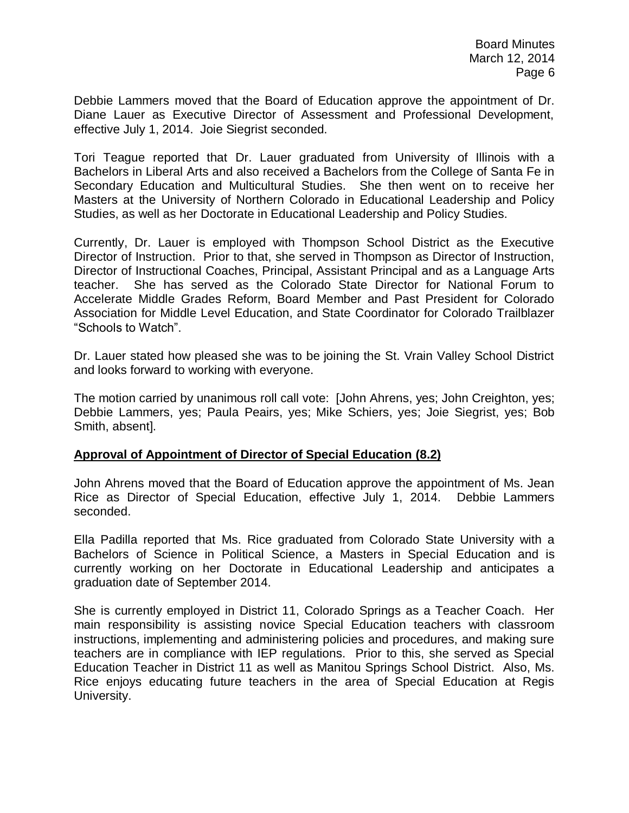Debbie Lammers moved that the Board of Education approve the appointment of Dr. Diane Lauer as Executive Director of Assessment and Professional Development, effective July 1, 2014. Joie Siegrist seconded.

Tori Teague reported that Dr. Lauer graduated from University of Illinois with a Bachelors in Liberal Arts and also received a Bachelors from the College of Santa Fe in Secondary Education and Multicultural Studies. She then went on to receive her Masters at the University of Northern Colorado in Educational Leadership and Policy Studies, as well as her Doctorate in Educational Leadership and Policy Studies.

Currently, Dr. Lauer is employed with Thompson School District as the Executive Director of Instruction. Prior to that, she served in Thompson as Director of Instruction, Director of Instructional Coaches, Principal, Assistant Principal and as a Language Arts teacher. She has served as the Colorado State Director for National Forum to Accelerate Middle Grades Reform, Board Member and Past President for Colorado Association for Middle Level Education, and State Coordinator for Colorado Trailblazer "Schools to Watch".

Dr. Lauer stated how pleased she was to be joining the St. Vrain Valley School District and looks forward to working with everyone.

The motion carried by unanimous roll call vote: [John Ahrens, yes; John Creighton, yes; Debbie Lammers, yes; Paula Peairs, yes; Mike Schiers, yes; Joie Siegrist, yes; Bob Smith, absent].

# **Approval of Appointment of Director of Special Education (8.2)**

John Ahrens moved that the Board of Education approve the appointment of Ms. Jean Rice as Director of Special Education, effective July 1, 2014. Debbie Lammers seconded.

Ella Padilla reported that Ms. Rice graduated from Colorado State University with a Bachelors of Science in Political Science, a Masters in Special Education and is currently working on her Doctorate in Educational Leadership and anticipates a graduation date of September 2014.

She is currently employed in District 11, Colorado Springs as a Teacher Coach. Her main responsibility is assisting novice Special Education teachers with classroom instructions, implementing and administering policies and procedures, and making sure teachers are in compliance with IEP regulations. Prior to this, she served as Special Education Teacher in District 11 as well as Manitou Springs School District. Also, Ms. Rice enjoys educating future teachers in the area of Special Education at Regis University.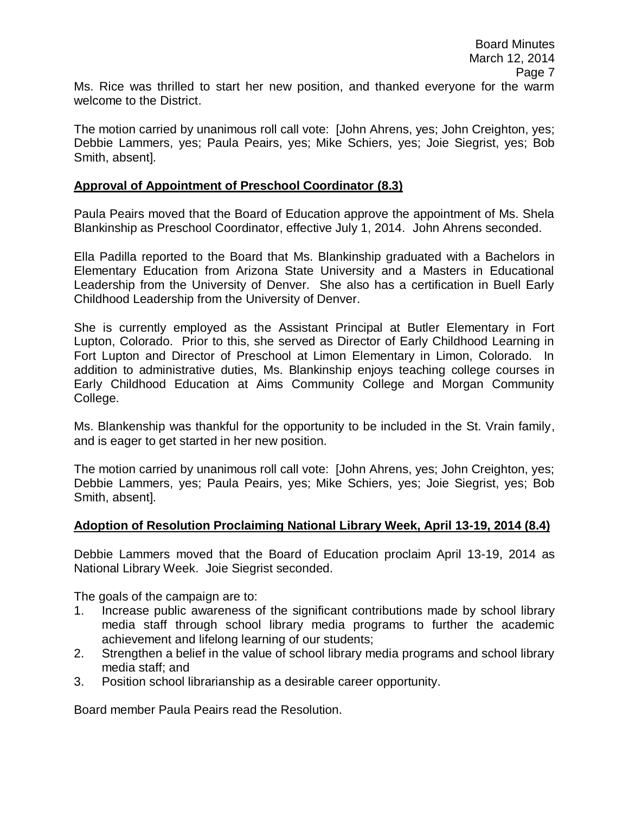Ms. Rice was thrilled to start her new position, and thanked everyone for the warm welcome to the District.

The motion carried by unanimous roll call vote: [John Ahrens, yes; John Creighton, yes; Debbie Lammers, yes; Paula Peairs, yes; Mike Schiers, yes; Joie Siegrist, yes; Bob Smith, absent].

#### **Approval of Appointment of Preschool Coordinator (8.3)**

Paula Peairs moved that the Board of Education approve the appointment of Ms. Shela Blankinship as Preschool Coordinator, effective July 1, 2014. John Ahrens seconded.

Ella Padilla reported to the Board that Ms. Blankinship graduated with a Bachelors in Elementary Education from Arizona State University and a Masters in Educational Leadership from the University of Denver. She also has a certification in Buell Early Childhood Leadership from the University of Denver.

She is currently employed as the Assistant Principal at Butler Elementary in Fort Lupton, Colorado. Prior to this, she served as Director of Early Childhood Learning in Fort Lupton and Director of Preschool at Limon Elementary in Limon, Colorado. In addition to administrative duties, Ms. Blankinship enjoys teaching college courses in Early Childhood Education at Aims Community College and Morgan Community College.

Ms. Blankenship was thankful for the opportunity to be included in the St. Vrain family, and is eager to get started in her new position.

The motion carried by unanimous roll call vote: [John Ahrens, yes; John Creighton, yes; Debbie Lammers, yes; Paula Peairs, yes; Mike Schiers, yes; Joie Siegrist, yes; Bob Smith, absent].

#### **Adoption of Resolution Proclaiming National Library Week, April 13-19, 2014 (8.4)**

Debbie Lammers moved that the Board of Education proclaim April 13-19, 2014 as National Library Week. Joie Siegrist seconded.

The goals of the campaign are to:

- 1. Increase public awareness of the significant contributions made by school library media staff through school library media programs to further the academic achievement and lifelong learning of our students;
- 2. Strengthen a belief in the value of school library media programs and school library media staff; and
- 3. Position school librarianship as a desirable career opportunity.

Board member Paula Peairs read the Resolution.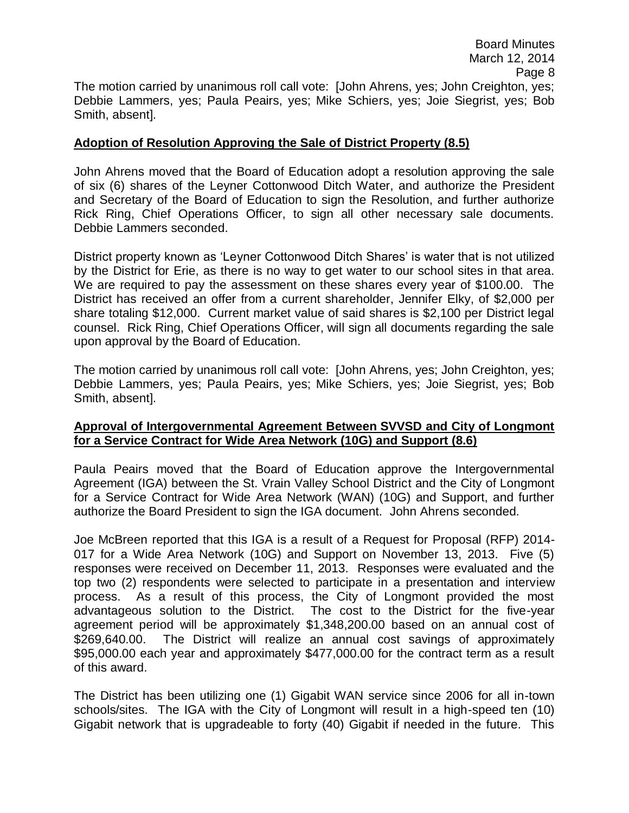# **Adoption of Resolution Approving the Sale of District Property (8.5)**

Smith, absent].

John Ahrens moved that the Board of Education adopt a resolution approving the sale of six (6) shares of the Leyner Cottonwood Ditch Water, and authorize the President and Secretary of the Board of Education to sign the Resolution, and further authorize Rick Ring, Chief Operations Officer, to sign all other necessary sale documents. Debbie Lammers seconded.

District property known as 'Leyner Cottonwood Ditch Shares' is water that is not utilized by the District for Erie, as there is no way to get water to our school sites in that area. We are required to pay the assessment on these shares every year of \$100.00. The District has received an offer from a current shareholder, Jennifer Elky, of \$2,000 per share totaling \$12,000. Current market value of said shares is \$2,100 per District legal counsel. Rick Ring, Chief Operations Officer, will sign all documents regarding the sale upon approval by the Board of Education.

The motion carried by unanimous roll call vote: [John Ahrens, yes; John Creighton, yes; Debbie Lammers, yes; Paula Peairs, yes; Mike Schiers, yes; Joie Siegrist, yes; Bob Smith, absent].

# **Approval of Intergovernmental Agreement Between SVVSD and City of Longmont for a Service Contract for Wide Area Network (10G) and Support (8.6)**

Paula Peairs moved that the Board of Education approve the Intergovernmental Agreement (IGA) between the St. Vrain Valley School District and the City of Longmont for a Service Contract for Wide Area Network (WAN) (10G) and Support, and further authorize the Board President to sign the IGA document. John Ahrens seconded.

Joe McBreen reported that this IGA is a result of a Request for Proposal (RFP) 2014- 017 for a Wide Area Network (10G) and Support on November 13, 2013. Five (5) responses were received on December 11, 2013. Responses were evaluated and the top two (2) respondents were selected to participate in a presentation and interview process. As a result of this process, the City of Longmont provided the most advantageous solution to the District. The cost to the District for the five-year agreement period will be approximately \$1,348,200.00 based on an annual cost of \$269,640.00. The District will realize an annual cost savings of approximately \$95,000.00 each year and approximately \$477,000.00 for the contract term as a result of this award.

The District has been utilizing one (1) Gigabit WAN service since 2006 for all in-town schools/sites. The IGA with the City of Longmont will result in a high-speed ten (10) Gigabit network that is upgradeable to forty (40) Gigabit if needed in the future. This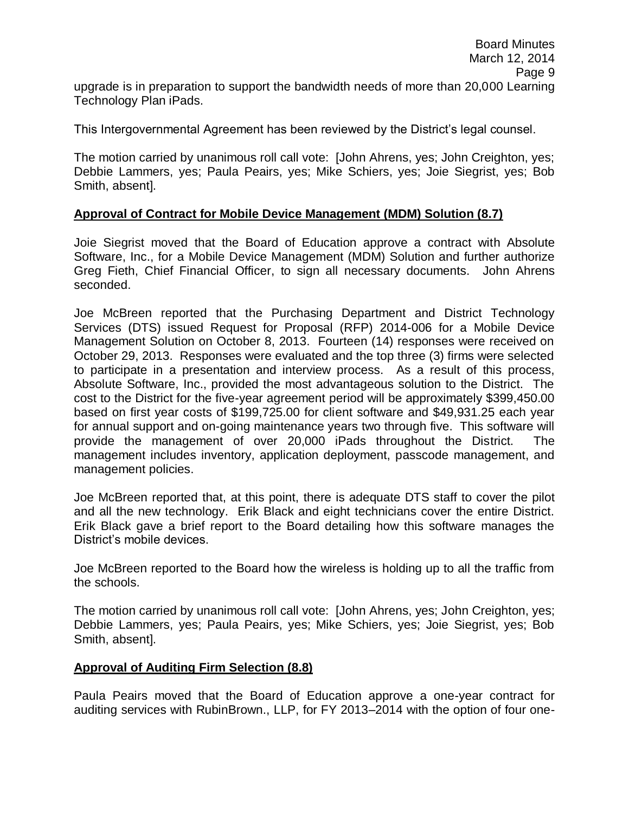This Intergovernmental Agreement has been reviewed by the District's legal counsel.

The motion carried by unanimous roll call vote: [John Ahrens, yes; John Creighton, yes; Debbie Lammers, yes; Paula Peairs, yes; Mike Schiers, yes; Joie Siegrist, yes; Bob Smith, absent].

# **Approval of Contract for Mobile Device Management (MDM) Solution (8.7)**

Joie Siegrist moved that the Board of Education approve a contract with Absolute Software, Inc., for a Mobile Device Management (MDM) Solution and further authorize Greg Fieth, Chief Financial Officer, to sign all necessary documents. John Ahrens seconded.

Joe McBreen reported that the Purchasing Department and District Technology Services (DTS) issued Request for Proposal (RFP) 2014-006 for a Mobile Device Management Solution on October 8, 2013. Fourteen (14) responses were received on October 29, 2013. Responses were evaluated and the top three (3) firms were selected to participate in a presentation and interview process. As a result of this process, Absolute Software, Inc., provided the most advantageous solution to the District. The cost to the District for the five-year agreement period will be approximately \$399,450.00 based on first year costs of \$199,725.00 for client software and \$49,931.25 each year for annual support and on-going maintenance years two through five. This software will provide the management of over 20,000 iPads throughout the District. The management includes inventory, application deployment, passcode management, and management policies.

Joe McBreen reported that, at this point, there is adequate DTS staff to cover the pilot and all the new technology. Erik Black and eight technicians cover the entire District. Erik Black gave a brief report to the Board detailing how this software manages the District's mobile devices.

Joe McBreen reported to the Board how the wireless is holding up to all the traffic from the schools.

The motion carried by unanimous roll call vote: [John Ahrens, yes; John Creighton, yes; Debbie Lammers, yes; Paula Peairs, yes; Mike Schiers, yes; Joie Siegrist, yes; Bob Smith, absent].

# **Approval of Auditing Firm Selection (8.8)**

Technology Plan iPads.

Paula Peairs moved that the Board of Education approve a one-year contract for auditing services with RubinBrown., LLP, for FY 2013–2014 with the option of four one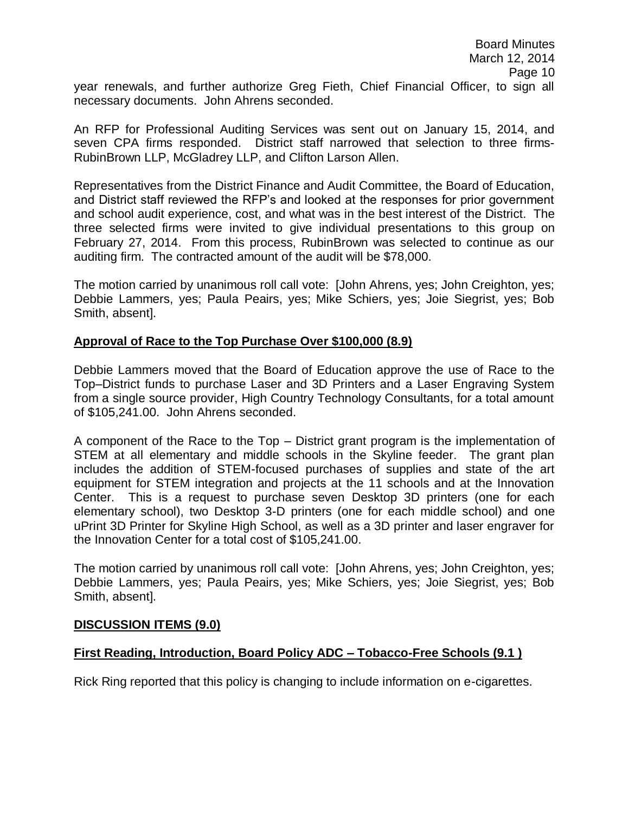year renewals, and further authorize Greg Fieth, Chief Financial Officer, to sign all necessary documents. John Ahrens seconded.

An RFP for Professional Auditing Services was sent out on January 15, 2014, and seven CPA firms responded. District staff narrowed that selection to three firms-RubinBrown LLP, McGladrey LLP, and Clifton Larson Allen.

Representatives from the District Finance and Audit Committee, the Board of Education, and District staff reviewed the RFP's and looked at the responses for prior government and school audit experience, cost, and what was in the best interest of the District. The three selected firms were invited to give individual presentations to this group on February 27, 2014. From this process, RubinBrown was selected to continue as our auditing firm. The contracted amount of the audit will be \$78,000.

The motion carried by unanimous roll call vote: [John Ahrens, yes; John Creighton, yes; Debbie Lammers, yes; Paula Peairs, yes; Mike Schiers, yes; Joie Siegrist, yes; Bob Smith, absent].

# **Approval of Race to the Top Purchase Over \$100,000 (8.9)**

Debbie Lammers moved that the Board of Education approve the use of Race to the Top–District funds to purchase Laser and 3D Printers and a Laser Engraving System from a single source provider, High Country Technology Consultants, for a total amount of \$105,241.00. John Ahrens seconded.

A component of the Race to the Top – District grant program is the implementation of STEM at all elementary and middle schools in the Skyline feeder. The grant plan includes the addition of STEM-focused purchases of supplies and state of the art equipment for STEM integration and projects at the 11 schools and at the Innovation Center. This is a request to purchase seven Desktop 3D printers (one for each elementary school), two Desktop 3-D printers (one for each middle school) and one uPrint 3D Printer for Skyline High School, as well as a 3D printer and laser engraver for the Innovation Center for a total cost of \$105,241.00.

The motion carried by unanimous roll call vote: [John Ahrens, yes; John Creighton, yes; Debbie Lammers, yes; Paula Peairs, yes; Mike Schiers, yes; Joie Siegrist, yes; Bob Smith, absent].

#### **DISCUSSION ITEMS (9.0)**

# **First Reading, Introduction, Board Policy ADC – Tobacco-Free Schools (9.1 )**

Rick Ring reported that this policy is changing to include information on e-cigarettes.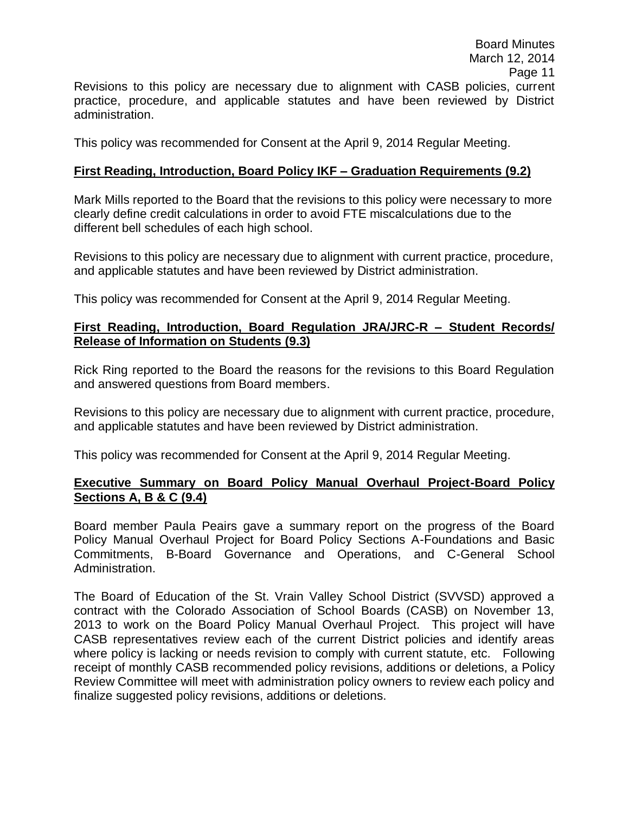This policy was recommended for Consent at the April 9, 2014 Regular Meeting.

# **First Reading, Introduction, Board Policy IKF – Graduation Requirements (9.2)**

Mark Mills reported to the Board that the revisions to this policy were necessary to more clearly define credit calculations in order to avoid FTE miscalculations due to the different bell schedules of each high school.

Revisions to this policy are necessary due to alignment with current practice, procedure, and applicable statutes and have been reviewed by District administration.

This policy was recommended for Consent at the April 9, 2014 Regular Meeting.

# **First Reading, Introduction, Board Regulation JRA/JRC-R – Student Records/ Release of Information on Students (9.3)**

Rick Ring reported to the Board the reasons for the revisions to this Board Regulation and answered questions from Board members.

Revisions to this policy are necessary due to alignment with current practice, procedure, and applicable statutes and have been reviewed by District administration.

This policy was recommended for Consent at the April 9, 2014 Regular Meeting.

# **Executive Summary on Board Policy Manual Overhaul Project-Board Policy Sections A, B & C (9.4)**

Board member Paula Peairs gave a summary report on the progress of the Board Policy Manual Overhaul Project for Board Policy Sections A-Foundations and Basic Commitments, B-Board Governance and Operations, and C-General School Administration.

The Board of Education of the St. Vrain Valley School District (SVVSD) approved a contract with the Colorado Association of School Boards (CASB) on November 13, 2013 to work on the Board Policy Manual Overhaul Project. This project will have CASB representatives review each of the current District policies and identify areas where policy is lacking or needs revision to comply with current statute, etc. Following receipt of monthly CASB recommended policy revisions, additions or deletions, a Policy Review Committee will meet with administration policy owners to review each policy and finalize suggested policy revisions, additions or deletions.